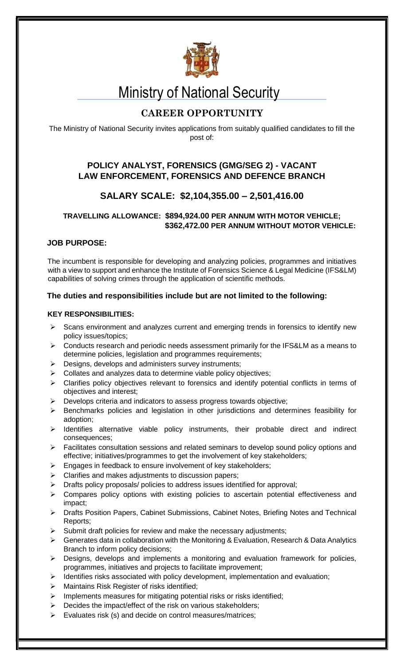

# Ministry of National Security

## **CAREER OPPORTUNITY**

The Ministry of National Security invites applications from suitably qualified candidates to fill the post of:

### **POLICY ANALYST, FORENSICS (GMG/SEG 2) - VACANT LAW ENFORCEMENT, FORENSICS AND DEFENCE BRANCH**

## **SALARY SCALE: \$2,104,355.00 – 2,501,416.00**

#### **TRAVELLING ALLOWANCE: \$894,924.00 PER ANNUM WITH MOTOR VEHICLE; \$362,472.00 PER ANNUM WITHOUT MOTOR VEHICLE:**

#### **JOB PURPOSE:**

The incumbent is responsible for developing and analyzing policies, programmes and initiatives with a view to support and enhance the Institute of Forensics Science & Legal Medicine (IFS&LM) capabilities of solving crimes through the application of scientific methods.

#### **The duties and responsibilities include but are not limited to the following:**

#### **KEY RESPONSIBILITIES:**

- $\triangleright$  Scans environment and analyzes current and emerging trends in forensics to identify new policy issues/topics;
- Conducts research and periodic needs assessment primarily for the IFS&LM as a means to determine policies, legislation and programmes requirements;
- $\triangleright$  Designs, develops and administers survey instruments;
- $\triangleright$  Collates and analyzes data to determine viable policy objectives;
- $\triangleright$  Clarifies policy objectives relevant to forensics and identify potential conflicts in terms of objectives and interest;
- $\triangleright$  Develops criteria and indicators to assess progress towards objective;
- $\triangleright$  Benchmarks policies and legislation in other jurisdictions and determines feasibility for adoption;
- $\triangleright$  Identifies alternative viable policy instruments, their probable direct and indirect consequences;
- $\triangleright$  Facilitates consultation sessions and related seminars to develop sound policy options and effective; initiatives/programmes to get the involvement of key stakeholders;
- $\triangleright$  Engages in feedback to ensure involvement of key stakeholders;
- $\triangleright$  Clarifies and makes adjustments to discussion papers;
- $\triangleright$  Drafts policy proposals/ policies to address issues identified for approval;
- Compares policy options with existing policies to ascertain potential effectiveness and impact;
- ▶ Drafts Position Papers, Cabinet Submissions, Cabinet Notes, Briefing Notes and Technical Reports;
- Submit draft policies for review and make the necessary adjustments;
- Generates data in collaboration with the Monitoring & Evaluation, Research & Data Analytics Branch to inform policy decisions;
- $\triangleright$  Designs, develops and implements a monitoring and evaluation framework for policies, programmes, initiatives and projects to facilitate improvement;
- $\triangleright$  Identifies risks associated with policy development, implementation and evaluation;
- $\triangleright$  Maintains Risk Register of risks identified;
- $\triangleright$  Implements measures for mitigating potential risks or risks identified;
- $\triangleright$  Decides the impact/effect of the risk on various stakeholders;
- $\triangleright$  Evaluates risk (s) and decide on control measures/matrices;